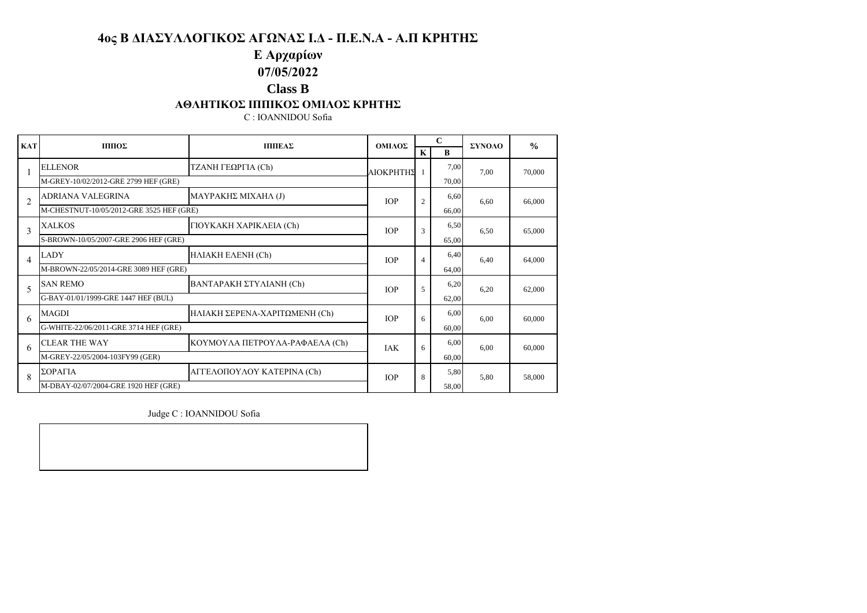# **E Αρχαρίων**

# **07/05/2022**

### **Class B**

### **ΑΘΛΗΤΙΚΟΣ ΙΠΠΙΚΟΣ ΟΜΙΛΟΣ ΚΡΗΤΗΣ**

C : IOANNIDOU Sofia

| <b>KAT</b>               | ΠΠΙΟΣ                                    | ΠΠΙΕΑΣ                         | ΟΜΙΛΟΣ      | $\mathbf C$    |       | ΣΥΝΟΛΟ | $\frac{0}{0}$ |
|--------------------------|------------------------------------------|--------------------------------|-------------|----------------|-------|--------|---------------|
|                          |                                          |                                |             | $\mathbf{K}$   | R     |        |               |
|                          | <b>ELLENOR</b>                           | ΤΖΑΝΗ ΓΕΩΡΓΙΑ (Ch)             | ΑΙΟΚΡΗΤΗΣ 1 |                | 7,00  | 7.00   | 70,000        |
|                          | M-GREY-10/02/2012-GRE 2799 HEF (GRE)     |                                |             |                | 70.00 |        |               |
| $\overline{c}$           | ADRIANA VALEGRINA                        | ΜΑΥΡΑΚΗΣ ΜΙΧΑΗΛ (J)            | <b>IOP</b>  | $\overline{c}$ | 6,60  | 6.60   | 66,000        |
|                          | M-CHESTNUT-10/05/2012-GRE 3525 HEF (GRE) |                                |             |                | 66.00 |        |               |
| 3                        | <b>XALKOS</b>                            | ΓΙΟΥΚΑΚΗ ΧΑΡΙΚΛΕΙΑ (Ch)        | <b>IOP</b>  | 3              | 6,50  | 6.50   | 65,000        |
|                          | S-BROWN-10/05/2007-GRE 2906 HEF (GRE)    |                                |             |                | 65.00 |        |               |
| $\overline{4}$           | LADY                                     | HAIAKH EAENH (Ch)              | <b>IOP</b>  | $\overline{4}$ | 6.40  | 6.40   | 64.000        |
|                          | M-BROWN-22/05/2014-GRE 3089 HEF (GRE)    |                                |             |                | 64.00 |        |               |
| $\overline{\phantom{0}}$ | <b>SAN REMO</b>                          | ΒΑΝΤΑΡΑΚΗ ΣΤΥΛΙΑΝΗ (Ch)        | <b>IOP</b>  | 5              | 6,20  | 6.20   | 62,000        |
|                          | G-BAY-01/01/1999-GRE 1447 HEF (BUL)      |                                |             |                | 62,00 |        |               |
| 6                        | <b>MAGDI</b>                             | ΗΛΙΑΚΗ ΣΕΡΕΝΑ-ΧΑΡΙΤΩΜΕΝΗ (Ch)  | <b>IOP</b>  | 6              | 6,00  | 6.00   | 60,000        |
|                          | G-WHITE-22/06/2011-GRE 3714 HEF (GRE)    |                                |             |                | 60.00 |        |               |
| 6                        | <b>CLEAR THE WAY</b>                     | ΚΟΥΜΟΥΛΑ ΠΕΤΡΟΥΛΑ-ΡΑΦΑΕΛΑ (Ch) | <b>IAK</b>  | 6              | 6,00  | 6.00   | 60,000        |
|                          | M-GREY-22/05/2004-103FY99 (GER)          |                                |             |                | 60.00 |        |               |
| 8                        | ΣΟΡΑΓΙΑ                                  | ΑΓΓΕΛΟΠΟΥΛΟΥ ΚΑΤΕΡΙΝΑ (Ch)     | <b>IOP</b>  | 8              | 5,80  | 5,80   | 58,000        |
|                          | M-DBAY-02/07/2004-GRE 1920 HEF (GRE)     |                                |             |                | 58,00 |        |               |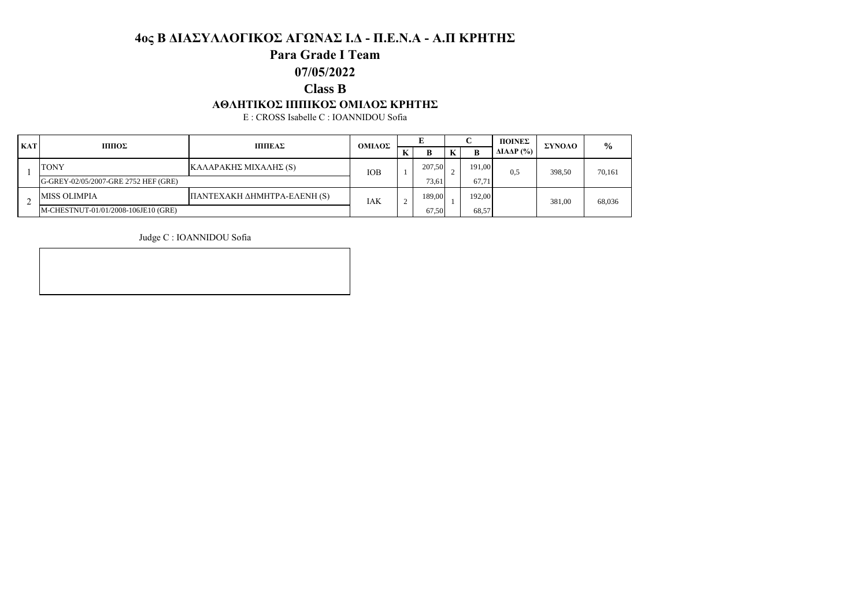### **Para Grade I Team**

#### **07/05/2022**

### **Class B**

#### **ΑΘΛΗΤΙΚΟΣ ΙΠΠΙΚΟΣ ΟΜΙΛΟΣ ΚΡΗΤΗΣ**

E : CROSS Isabelle C : IOANNIDOU Sofia

| <b>KAT</b> | ΠΠΙΟΣ<br>ΠΠΙΕΑΣ                      | ΟΜΙΛΟΣ                      |     |       |        |       | ΠΟΙΝΕΣ | ΣΥΝΟΛΟ                         | $\frac{6}{6}$ |        |
|------------|--------------------------------------|-----------------------------|-----|-------|--------|-------|--------|--------------------------------|---------------|--------|
|            |                                      |                             |     |       | B      |       | B      | $\Delta$ IA $\Delta$ P $(\% )$ |               |        |
|            | <b>TONY</b>                          | ΚΑΛΑΡΑΚΗΣ ΜΙΧΑΛΗΣ (S)       | IOB |       | 207.50 |       | 191,00 | 0.5                            | 398.50        | 70,161 |
|            | G-GREY-02/05/2007-GRE 2752 HEF (GRE) |                             |     | 73.61 |        | 67.71 |        |                                |               |        |
|            | <b>MISS OLIMPIA</b>                  | ΠΑΝΤΕΧΑΚΗ ΔΗΜΗΤΡΑ-ΕΛΕΝΗ (S) | IAK | ∠     | 189.00 |       | 192.00 |                                | 381.00        | 68,036 |
|            | M-CHESTNUT-01/01/2008-106JE10 (GRE)  |                             |     | 67,50 |        | 68,57 |        |                                |               |        |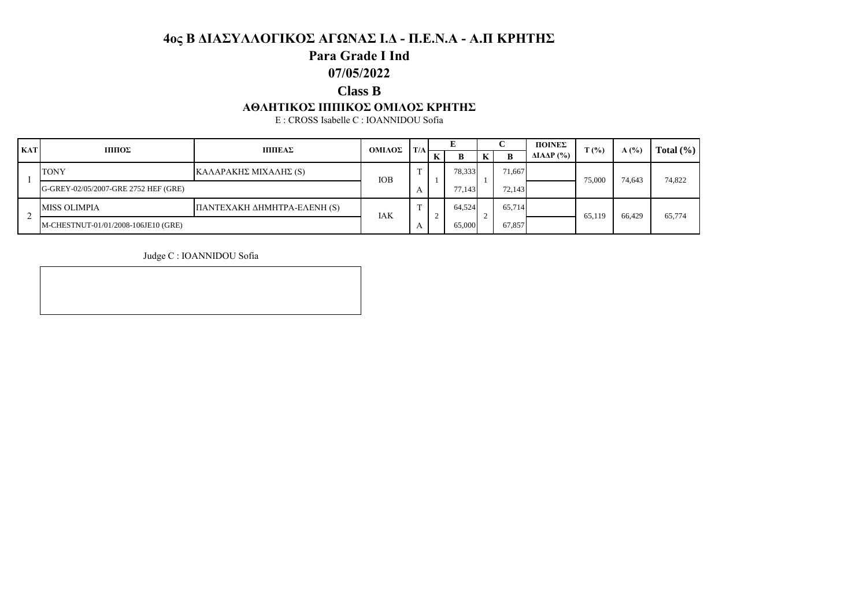### **Para Grade I Ind**

### **07/05/2022**

### **Class B**

#### **ΑΘΛΗΤΙΚΟΣ ΙΠΠΙΚΟΣ ΟΜΙΛΟΣ ΚΡΗΤΗΣ**

E : CROSS Isabelle C : IOANNIDOU Sofia

| <b>KAT</b> | ШΠΟΣ<br>ΠΠΙΕΑΣ<br>ΟΜΙΛΟΣ             |                             | T/A |   |    |        |   | ΠΟΙΝΕΣ | $\mathbf{T}(\% )$              | A(%)   | Total $(\% )$ |        |
|------------|--------------------------------------|-----------------------------|-----|---|----|--------|---|--------|--------------------------------|--------|---------------|--------|
|            |                                      |                             |     |   | P. | В      | ĸ | B      | $\Delta$ IA $\Delta$ P $(\% )$ |        |               |        |
|            | <b>TONY</b>                          | ΚΑΛΑΡΑΚΗΣ ΜΙΧΑΛΗΣ (S)       | IOB | m |    | 78,333 |   | 71,667 |                                | 75,000 | 74,643        | 74,822 |
|            | G-GREY-02/05/2007-GRE 2752 HEF (GRE) |                             |     |   |    | 77.143 |   | 72,143 |                                |        |               |        |
|            | <b>MISS OLIMPIA</b>                  | ΠΑΝΤΕΧΑΚΗ ΔΗΜΗΤΡΑ-ΕΛΕΝΗ (S) | IAK | m |    | 64,524 |   | 65,714 |                                | 65.119 | 66.429        | 65,774 |
|            | M-CHESTNUT-01/01/2008-106JE10 (GRE)  |                             |     |   |    | 65,000 |   | 67,857 |                                |        |               |        |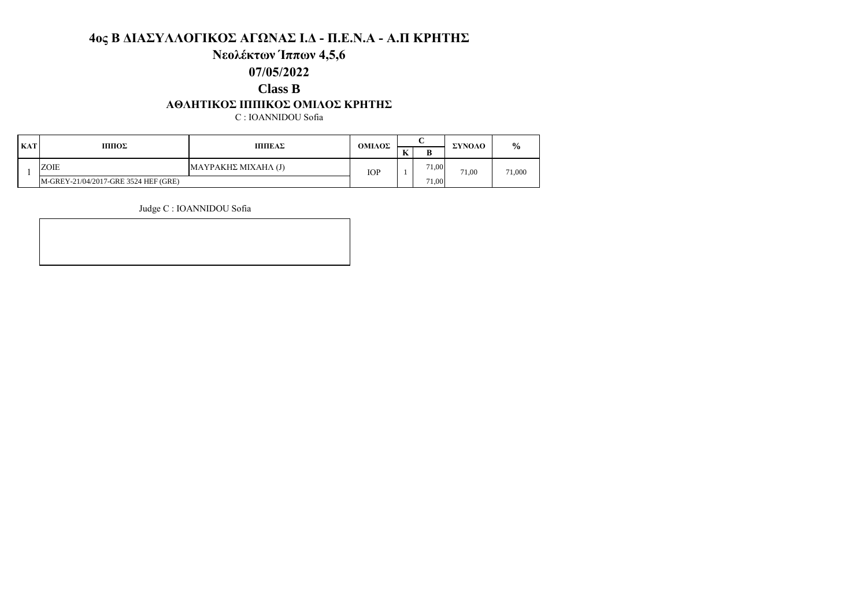### **Νεολέκτων Ίππων 4,5,6**

#### **07/05/2022**

#### **Class B**

#### **ΑΘΛΗΤΙΚΟΣ ΙΠΠΙΚΟΣ ΟΜΙΛΟΣ ΚΡΗΤΗΣ**

C : IOANNIDOU Sofia

| <b>KAT</b> | ПΠЮΣ                                 | ΟΜΙΛΟΣ              |            |           | ΣΥΝΟΛΟ | $\frac{0}{0}$ |        |
|------------|--------------------------------------|---------------------|------------|-----------|--------|---------------|--------|
|            |                                      | ΠΠΙΕΑΣ              |            | $ -$<br>м |        |               |        |
|            | ZOIE                                 | ΜΑΥΡΑΚΗΣ ΜΙΧΑΗΛ (J) | <b>IOP</b> |           | 71,00  | 71.00         | 71,000 |
|            | M-GREY-21/04/2017-GRE 3524 HEF (GRE) |                     |            |           | 71.00  |               |        |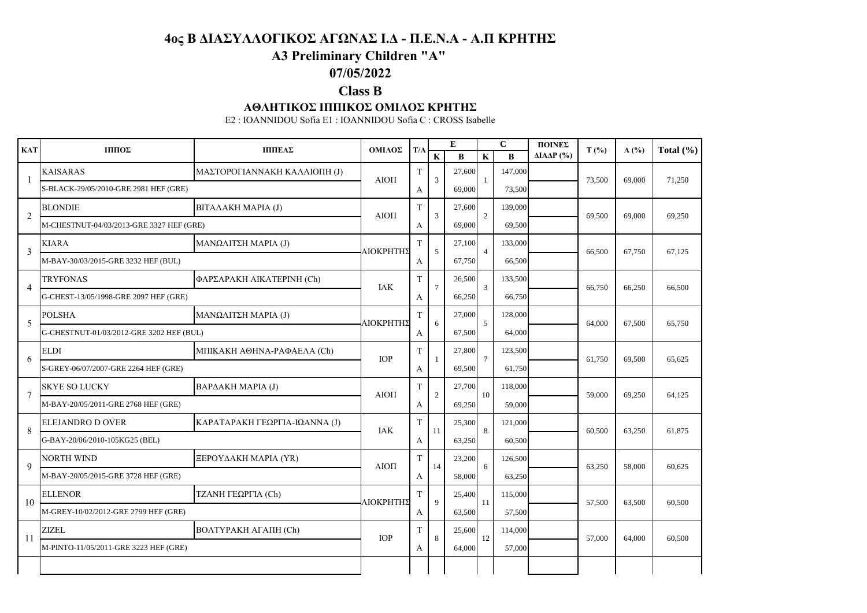# **A3 Preliminary Children "A"**

### **07/05/2022**

### **Class B**

#### **ΑΘΛΗΤΙΚΟΣ ΙΠΠΙΚΟΣ ΟΜΙΛΟΣ ΚΡΗΤΗΣ**

E2 : IOANNIDOU Sofia E1 : IOANNIDOU Sofia C : CROSS Isabelle

| <b>KAT</b>     | ΙΠΠΟΣ                                    | ΠΠΙΕΑΣ                        | ΟΜΙΛΟΣ     | T/A |                         | E        |                | $\mathbf{C}$ | ΠΟΙΝΕΣ               | $T($ %) | A(%)   | Total $(\% )$ |
|----------------|------------------------------------------|-------------------------------|------------|-----|-------------------------|----------|----------------|--------------|----------------------|---------|--------|---------------|
|                |                                          |                               |            |     | $\overline{\mathbf{K}}$ | $\bf{B}$ | $\mathbf K$    | $\bf{B}$     | $\triangle IAAP$ (%) |         |        |               |
| -1             | <b>KAISARAS</b>                          | ΜΑΣΤΟΡΟΓΙΑΝΝΑΚΗ ΚΑΛΛΙΟΠΗ (J)  | AIOTI      | T   | 3                       | 27,600   |                | 147,000      |                      | 73,500  | 69,000 | 71,250        |
|                | S-BLACK-29/05/2010-GRE 2981 HEF (GRE)    |                               |            | A   |                         | 69,000   |                | 73,500       |                      |         |        |               |
| $\overline{2}$ | <b>BLONDIE</b>                           | ΒΙΤΑΛΑΚΗ ΜΑΡΙΑ (J)            | AIOTI      | T   | 3                       | 27,600   | 2              | 139,000      |                      | 69.500  | 69,000 | 69,250        |
|                | M-CHESTNUT-04/03/2013-GRE 3327 HEF (GRE) |                               |            | A   |                         | 69,000   |                | 69,500       |                      |         |        |               |
| 3              | <b>KIARA</b>                             | ΜΑΝΩΛΙΤΣΗ ΜΑΡΙΑ (J)           |            | T   | 5                       | 27,100   | $\overline{4}$ | 133,000      |                      |         |        |               |
|                | M-BAY-30/03/2015-GRE 3232 HEF (BUL)      |                               | ΑΙΟΚΡΗΤΗΣ  | A   |                         | 67,750   |                | 66,500       |                      | 66,500  | 67,750 | 67,125        |
| $\overline{4}$ | <b>TRYFONAS</b>                          | ΦΑΡΣΑΡΑΚΗ ΑΙΚΑΤΕΡΙΝΗ (Ch)     | <b>IAK</b> | T   | $\tau$                  | 26,500   | 3              | 133,500      |                      |         |        |               |
|                | G-CHEST-13/05/1998-GRE 2097 HEF (GRE)    |                               |            | A   |                         | 66,250   |                | 66,750       |                      | 66,750  | 66,250 | 66,500        |
| 5              | <b>POLSHA</b>                            | ΜΑΝΩΛΙΤΣΗ ΜΑΡΙΑ (J)           |            | T   | 6                       | 27,000   | 5              | 128,000      |                      |         |        |               |
|                | G-CHESTNUT-01/03/2012-GRE 3202 HEF (BUL) |                               | ΑΙΟΚΡΗΤΗΣ  | A   |                         | 67.500   |                | 64,000       |                      | 64,000  | 67,500 | 65,750        |
| 6              | ELDI                                     | ΜΠΙΚΑΚΗ ΑΘΗΝΑ-ΡΑΦΑΕΛΑ (Ch)    | <b>TOP</b> | T   |                         | 27,800   | $\overline{7}$ | 123,500      |                      |         |        |               |
|                | S-GREY-06/07/2007-GRE 2264 HEF (GRE)     |                               |            | A   | $\overline{1}$          | 69,500   |                | 61,750       |                      | 61.750  | 69,500 | 65.625        |
|                | <b>SKYE SO LUCKY</b>                     | ΒΑΡΔΑΚΗ ΜΑΡΙΑ (J)             | AIOTI      | T   | 2                       | 27,700   | 10             | 118,000      |                      | 59,000  |        |               |
| 7              | M-BAY-20/05/2011-GRE 2768 HEF (GRE)      |                               |            | A   |                         | 69,250   |                | 59,000       |                      |         | 69,250 | 64,125        |
| 8              | ELEJANDRO D OVER                         | ΚΑΡΑΤΑΡΑΚΗ ΓΕΩΡΓΙΑ-ΙΩΑΝΝΑ (J) | <b>IAK</b> | T.  | 11                      | 25,300   | $\mathbf{8}$   | 121,000      |                      | 60,500  |        |               |
|                | G-BAY-20/06/2010-105KG25 (BEL)           |                               |            | А   |                         | 63,250   |                | 60,500       |                      |         | 63,250 | 61,875        |
| 9              | <b>NORTH WIND</b>                        | ΞΕΡΟΥΔΑΚΗ ΜΑΡΙΑ (ΥR)          |            | T   | 14                      | 23,200   | 6              | 126,500      |                      |         |        |               |
|                | M-BAY-20/05/2015-GRE 3728 HEF (GRE)      |                               | AIOTI      | A   |                         | 58,000   |                | 63,250       |                      | 63,250  | 58,000 | 60,625        |
| 10             | <b>ELLENOR</b>                           | ΤΖΑΝΗ ΓΕΩΡΓΙΑ (Ch)            | ΑΙΟΚΡΗΤΗΣ  | T.  | $\mathbf Q$             | 25,400   | 11             | 115,000      |                      | 57,500  | 63,500 | 60,500        |
|                | M-GREY-10/02/2012-GRE 2799 HEF (GRE)     |                               |            | A   |                         | 63,500   |                | 57,500       |                      |         |        |               |
| 11             | <b>ZIZEL</b>                             | ВОЛТҮРАКН АГАПН (Ch)          | <b>IOP</b> | T   | 8                       | 25,600   | 12             | 114,000      |                      |         |        |               |
|                | M-PINTO-11/05/2011-GRE 3223 HEF (GRE)    |                               |            | A   |                         | 64,000   |                | 57,000       |                      | 57,000  | 64,000 | 60,500        |
|                |                                          |                               |            |     |                         |          |                |              |                      |         |        |               |
|                |                                          |                               |            |     |                         |          |                |              |                      |         |        |               |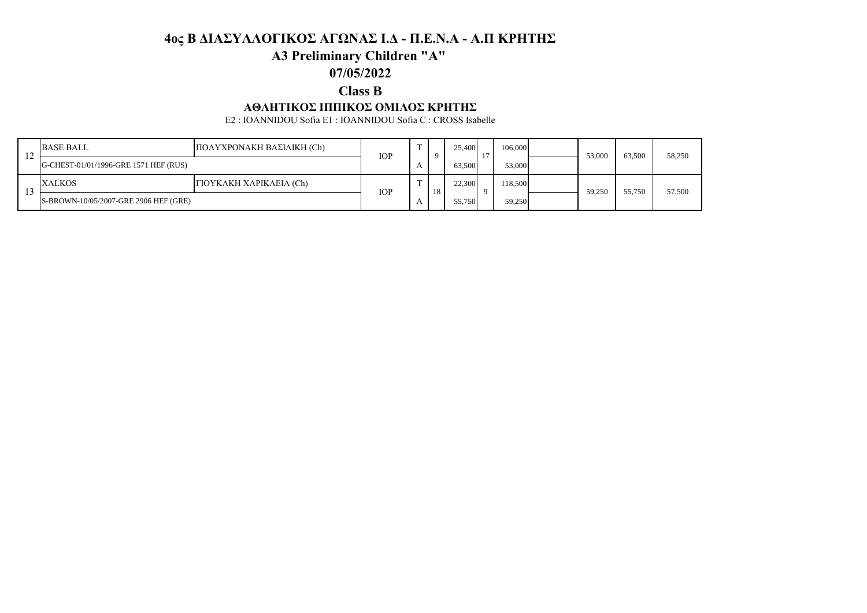# **A3 Preliminary Children "A"**

### **07/05/2022**

### **Class B**

#### **ΑΘΛΗΤΙΚΟΣ ΙΠΠΙΚΟΣ ΟΜΙΛΟΣ ΚΡΗΤΗΣ**

E2 : IOANNIDOU Sofia E1 : IOANNIDOU Sofia C : CROSS Isabelle

| 14  | <b>BASE BALL</b>                      | ΠΟΛΥΧΡΟΝΑΚΗ ΒΑΣΙΛΙΚΗ (Ch) |            | <b>IOP</b> |    | 25,400 | 106,000 | 53,000 | 63,500 | 58,250 |
|-----|---------------------------------------|---------------------------|------------|------------|----|--------|---------|--------|--------|--------|
|     | G-CHEST-01/01/1996-GRE 1571 HEF (RUS) |                           |            |            |    | 63,500 | 53,000  |        |        |        |
|     | XALKOS                                | ΓΙΟΥΚΑΚΗ ΧΑΡΙΚΛΕΙΑ (Ch)   | <b>IOP</b> |            | 18 | 22,300 | 118,500 | 59.250 | 55,750 | 57,500 |
| ن ر | S-BROWN-10/05/2007-GRE 2906 HEF (GRE) |                           |            |            |    | 55,750 | 59,250  |        |        |        |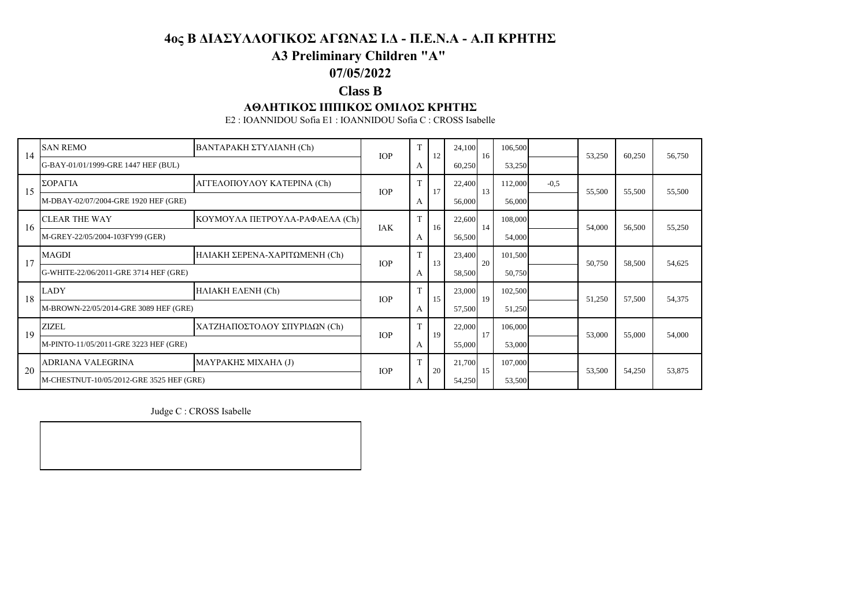# **A3 Preliminary Children "A"**

### **07/05/2022**

### **Class B**

#### **ΑΘΛΗΤΙΚΟΣ ΙΠΠΙΚΟΣ ΟΜΙΛΟΣ ΚΡΗΤΗΣ**

E2 : IOANNIDOU Sofia E1 : IOANNIDOU Sofia C : CROSS Isabelle

| 14 | <b>SAN REMO</b>                          | <b>BANTAPAKH ΣΤΥΛΙΑΝΗ (Ch)</b>       | <b>TOP</b> | T | 12 | 24,100 | 16 | 106,500 |        | 53,250 | 60,250 | 56,750 |
|----|------------------------------------------|--------------------------------------|------------|---|----|--------|----|---------|--------|--------|--------|--------|
|    | G-BAY-01/01/1999-GRE 1447 HEF (BUL)      |                                      |            | A |    | 60,250 |    | 53,250  |        |        |        |        |
| 15 | ΣΟΡΑΓΙΑ                                  | ΑΓΓΕΛΟΠΟΥΛΟΥ ΚΑΤΕΡΙΝΑ (Ch)           | <b>IOP</b> | T | 17 | 22,400 | 13 | 112,000 | $-0,5$ | 55,500 | 55,500 | 55,500 |
|    | M-DBAY-02/07/2004-GRE 1920 HEF (GRE)     |                                      |            | A |    | 56,000 |    | 56,000  |        |        |        |        |
| 16 | <b>CLEAR THE WAY</b>                     | ΚΟΥΜΟΥΛΑ ΠΕΤΡΟΥΛΑ-ΡΑΦΑΕΛΑ (Ch)       | IAK        | T | 16 | 22,600 | 14 | 108,000 |        | 54,000 | 56,500 | 55,250 |
|    | M-GREY-22/05/2004-103FY99 (GER)          |                                      |            | A |    | 56,500 |    | 54,000  |        |        |        |        |
| 17 | <b>MAGDI</b>                             | <b>ΗΛΙΑΚΗ ΣΕΡΕΝΑ-ΧΑΡΙΤΩΜΕΝΗ (Ch)</b> | <b>IOP</b> |   | 13 | 23,400 | 20 | 101,500 |        | 50,750 | 58,500 | 54,625 |
|    | G-WHITE-22/06/2011-GRE 3714 HEF (GRE)    |                                      |            | A |    | 58,500 |    | 50,750  |        |        |        |        |
| 18 | LADY                                     | HAIAKH EAENH (Ch)                    | <b>TOP</b> | T | 15 | 23,000 | 19 | 102,500 |        | 51,250 | 57,500 | 54,375 |
|    | M-BROWN-22/05/2014-GRE 3089 HEF (GRE)    |                                      |            | A |    | 57,500 |    | 51,250  |        |        |        |        |
| 19 | ZIZEL                                    | ΧΑΤΖΗΑΠΟΣΤΟΛΟΥ ΣΠΥΡΙΔΩΝ (Ch)         | <b>IOP</b> | T | 19 | 22,000 | 17 | 106,000 |        | 53,000 | 55,000 | 54,000 |
|    | M-PINTO-11/05/2011-GRE 3223 HEF (GRE)    |                                      |            | A |    | 55,000 |    | 53,000  |        |        |        |        |
| 20 | ADRIANA VALEGRINA                        | ΜΑΥΡΑΚΗΣ ΜΙΧΑΗΛ (J)                  | <b>TOP</b> | T | 20 | 21,700 | 15 | 107,000 |        | 53,500 | 54,250 | 53,875 |
|    | M-CHESTNUT-10/05/2012-GRE 3525 HEF (GRE) |                                      |            | A |    | 54,250 |    | 53,500  |        |        |        |        |

Judge C : CROSS Isabelle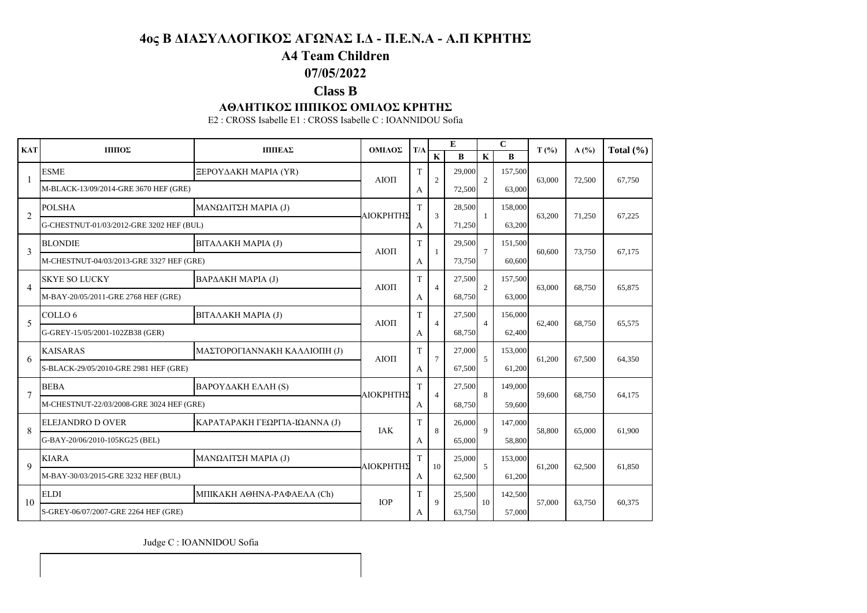# **A4 Team Children**

## **07/05/2022**

## **Class B**

#### **ΑΘΛΗΤΙΚΟΣ ΙΠΠΙΚΟΣ ΟΜΙΛΟΣ ΚΡΗΤΗΣ**

E2 : CROSS Isabelle E1 : CROSS Isabelle C : IOANNIDOU Sofia

| <b>KAT</b>     | ΠΠΟΣ                                     | <b>ПППЕАΣ</b>                 | ΟΜΙΛΟΣ     | T/A |                | E      |                | $\mathbf C$ | $T($ %) | A(%)   | Total $(\% )$ |
|----------------|------------------------------------------|-------------------------------|------------|-----|----------------|--------|----------------|-------------|---------|--------|---------------|
|                |                                          |                               |            |     | K              | B      | $\mathbf{K}$   | R           |         |        |               |
| 1              | <b>ESME</b>                              | ΞΕΡΟΥΔΑΚΗ ΜΑΡΙΑ (ΥR)          | $AIO\Pi$   | T   | $\overline{2}$ | 29,000 | $\overline{c}$ | 157,500     | 63,000  | 72,500 | 67.750        |
|                | M-BLACK-13/09/2014-GRE 3670 HEF (GRE)    |                               |            | A   |                | 72,500 |                | 63,000      |         |        |               |
| 2              | <b>POLSHA</b>                            | ΜΑΝΩΛΙΤΣΗ ΜΑΡΙΑ (J)           | ΑΙΟΚΡΗΤΗΣ  | T   | 3              | 28,500 | -1             | 158,000     | 63,200  | 71,250 | 67,225        |
|                | G-CHESTNUT-01/03/2012-GRE 3202 HEF (BUL) |                               |            | A   |                | 71,250 |                | 63,200      |         |        |               |
| 3              | <b>BLONDIE</b>                           | <b>BITAAAKH MAPIA (J)</b>     | $AIO\Pi$   | T   | -1             | 29,500 | $\tau$         | 151,500     | 60,600  | 73,750 | 67.175        |
|                | M-CHESTNUT-04/03/2013-GRE 3327 HEF (GRE) |                               |            | A   |                | 73,750 |                | 60,600      |         |        |               |
| $\overline{4}$ | <b>SKYE SO LUCKY</b>                     | ΒΑΡΔΑΚΗ ΜΑΡΙΑ (J)             | AIOTI      | T   | $\overline{4}$ | 27,500 | $\overline{c}$ | 157,500     | 63,000  | 68,750 | 65,875        |
|                | M-BAY-20/05/2011-GRE 2768 HEF (GRE)      |                               |            | A   |                | 68,750 |                | 63,000      |         |        |               |
| 5              | COLLO <sub>6</sub>                       | ΒΙΤΑΛΑΚΗ ΜΑΡΙΑ (J)            |            | T   | $\overline{4}$ | 27,500 | $\overline{4}$ | 156,000     | 62,400  | 68,750 | 65,575        |
|                | G-GREY-15/05/2001-102ZB38 (GER)          |                               | AIOTI<br>A |     | 68,750         |        | 62,400         |             |         |        |               |
| 6              | <b>KAISARAS</b>                          | ΜΑΣΤΟΡΟΓΙΑΝΝΑΚΗ ΚΑΛΛΙΟΠΗ (J)  | AIOTI      | T   | $\tau$         | 27,000 | 5              | 153,000     | 61,200  | 67,500 | 64,350        |
|                | S-BLACK-29/05/2010-GRE 2981 HEF (GRE)    |                               |            | A   |                | 67,500 |                | 61,200      |         |        |               |
| $\tau$         | <b>BEBA</b>                              | ΒΑΡΟΥΔΑΚΗ ΕΛΛΗ (S)            | ΑΙΟΚΡΗΤΗΣ  | T   | $\overline{4}$ | 27,500 | 8              | 149,000     | 59,600  | 68,750 | 64,175        |
|                | M-CHESTNUT-22/03/2008-GRE 3024 HEF (GRE) |                               |            | A   |                | 68,750 |                | 59,600      |         |        |               |
| 8              | <b>ELEJANDRO D OVER</b>                  | ΚΑΡΑΤΑΡΑΚΗ ΓΕΩΡΓΙΑ-ΙΩΑΝΝΑ (J) | <b>IAK</b> | T   | 8              | 26,000 | $\mathbf Q$    | 147,000     | 58,800  | 65,000 | 61,900        |
|                | G-BAY-20/06/2010-105KG25 (BEL)           |                               |            | A   |                | 65,000 |                | 58,800      |         |        |               |
| 9              | <b>KIARA</b>                             | ΜΑΝΩΛΙΤΣΗ ΜΑΡΙΑ (J)           | ΑΙΟΚΡΗΤΗΣ  | T   | 10             | 25,000 | $\overline{5}$ | 153,000     | 61,200  | 62,500 | 61,850        |
|                | M-BAY-30/03/2015-GRE 3232 HEF (BUL)      |                               |            | A   |                | 62,500 |                | 61,200      |         |        |               |
| 10             | ELDI                                     | ΜΠΙΚΑΚΗ ΑΘΗΝΑ-ΡΑΦΑΕΛΑ (Ch)    | <b>IOP</b> | T   | 9              | 25,500 | 10             | 142,500     | 57,000  | 63,750 | 60,375        |
|                | S-GREY-06/07/2007-GRE 2264 HEF (GRE)     |                               |            | A   |                | 63,750 |                | 57,000      |         |        |               |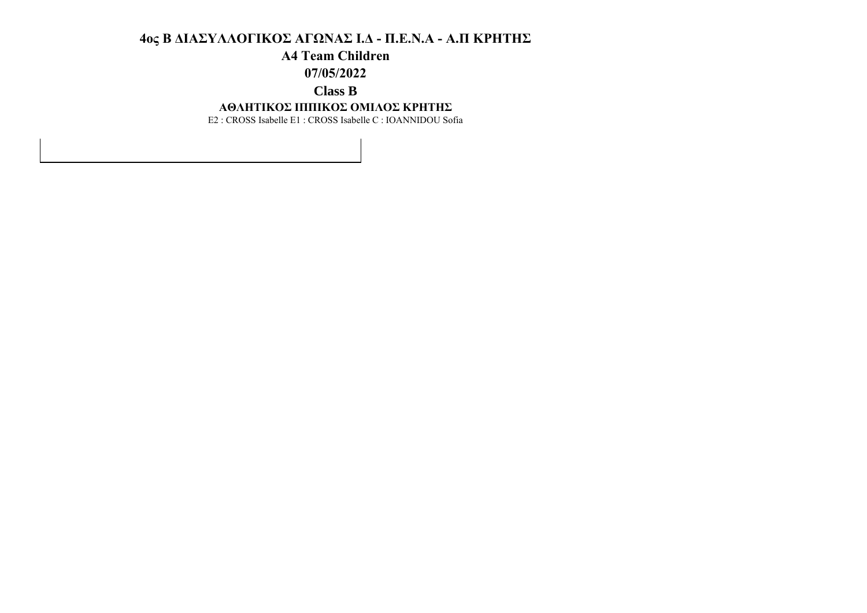## **A4 Team Children**

**07/05/2022**

## **Class B**

#### **ΑΘΛΗΤΙΚΟΣ ΙΠΠΙΚΟΣ ΟΜΙΛΟΣ ΚΡΗΤΗΣ**

E2 : CROSS Isabelle E1 : CROSS Isabelle C : IOANNIDOU Sofia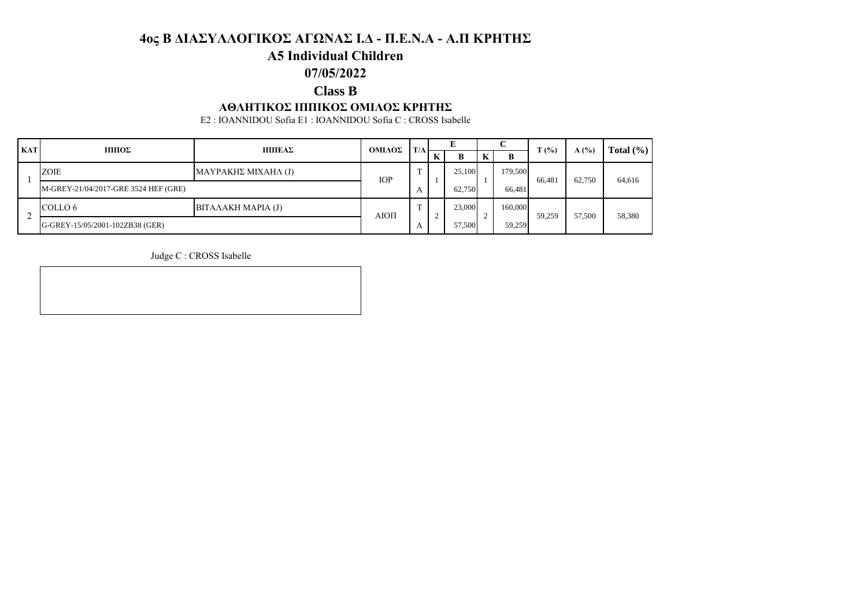## **A5 Individual Children**

# **07/05/2022**

# **Class B**

### **ΑΘΛΗΤΙΚΟΣ ΙΠΠΙΚΟΣ ΟΜΙΛΟΣ ΚΡΗΤΗΣ**

E2 : IOANNIDOU Sofia E1 : IOANNIDOU Sofia C : CROSS Isabelle

| <b>KAT</b> | ШΠΟΣ                                 | ΠΠΙΕΑΣ                    | ΟΜΙΛΟΣ     | T/A |   | E      |  | $\sim$  | $\mathbf{T}(\% )$ | A(%)   | Total $(\% )$ |
|------------|--------------------------------------|---------------------------|------------|-----|---|--------|--|---------|-------------------|--------|---------------|
|            |                                      |                           |            |     | K | B      |  | B       |                   |        |               |
|            | <b>ZOIE</b>                          | ΜΑΥΡΑΚΗΣ ΜΙΧΑΗΛ (J)       | <b>IOP</b> |     |   | 25.100 |  | 179,500 | 66.481            | 62,750 | 64,616        |
|            | M-GREY-21/04/2017-GRE 3524 HEF (GRE) |                           |            | А   |   | 62.750 |  | 66.481  |                   |        |               |
|            | COLLO 6                              | <b>BITAAAKH MAPIA (J)</b> | АЮП        |     |   | 23,000 |  | 160,000 | 59,259            | 57,500 | 58,380        |
|            | G-GREY-15/05/2001-102ZB38 (GER)      |                           |            | А   |   | 57,500 |  | 59,259  |                   |        |               |

Judge C : CROSS Isabelle